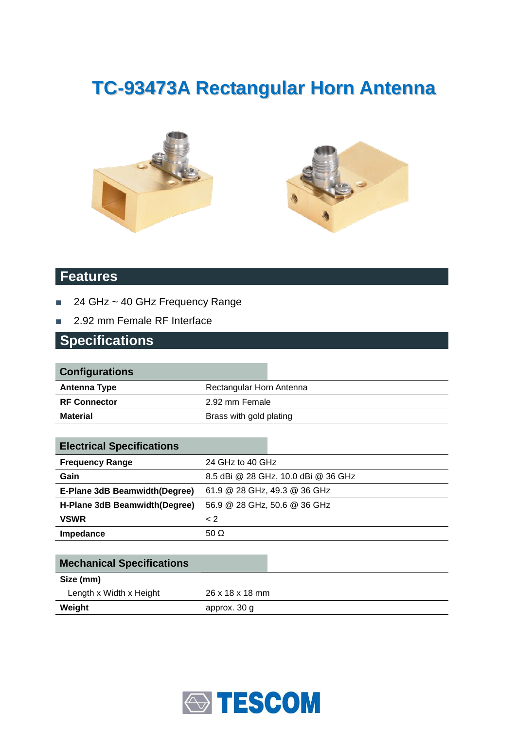# **TC-93473A Rectangular Horn Antenna**





#### **Features**

- 24 GHz ~ 40 GHz Frequency Range
- 2.92 mm Female RF Interface

#### **Specifications**

| <b>Configurations</b> |                          |  |
|-----------------------|--------------------------|--|
| <b>Antenna Type</b>   | Rectangular Horn Antenna |  |
| <b>RF Connector</b>   | 2.92 mm Female           |  |
| <b>Material</b>       | Brass with gold plating  |  |
|                       |                          |  |

| <b>Electrical Specifications</b> |                                     |  |
|----------------------------------|-------------------------------------|--|
| <b>Frequency Range</b>           | 24 GHz to 40 GHz                    |  |
| Gain                             | 8.5 dBi @ 28 GHz, 10.0 dBi @ 36 GHz |  |
| E-Plane 3dB Beamwidth(Degree)    | 61.9 @ 28 GHz, 49.3 @ 36 GHz        |  |
| H-Plane 3dB Beamwidth (Degree)   | 56.9 @ 28 GHz, 50.6 @ 36 GHz        |  |
| <b>VSWR</b>                      | $\leq$ 2                            |  |
| Impedance                        | 50 $\Omega$                         |  |

| <b>Mechanical Specifications</b> |                 |
|----------------------------------|-----------------|
| Size (mm)                        |                 |
| Length x Width x Height          | 26 x 18 x 18 mm |
| Weight                           | approx. 30 g    |

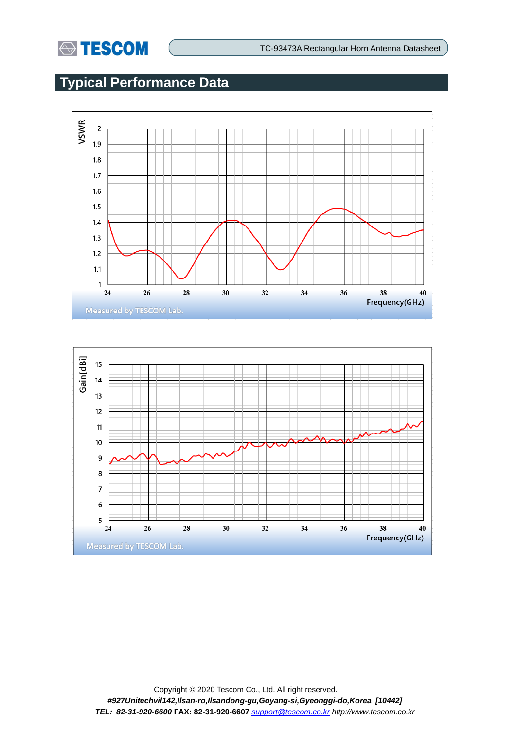

## **Typical Performance Data**



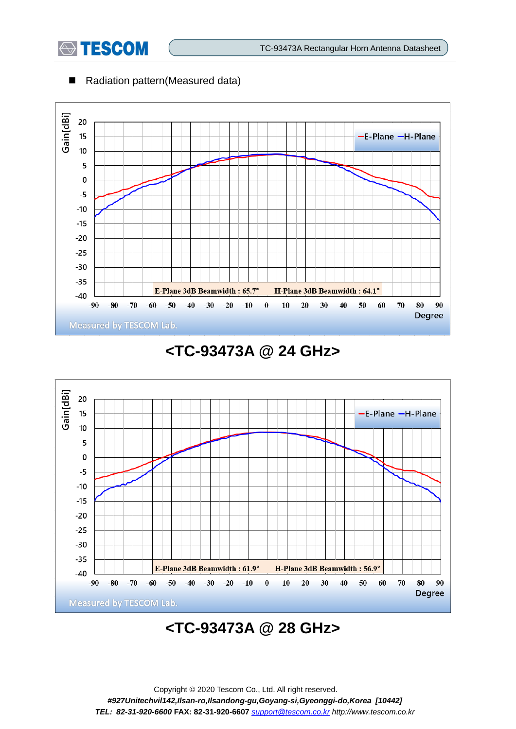

#### ■ Radiation pattern(Measured data)



## **<TC-93473A @ 24 GHz>**



## **<TC-93473A @ 28 GHz>**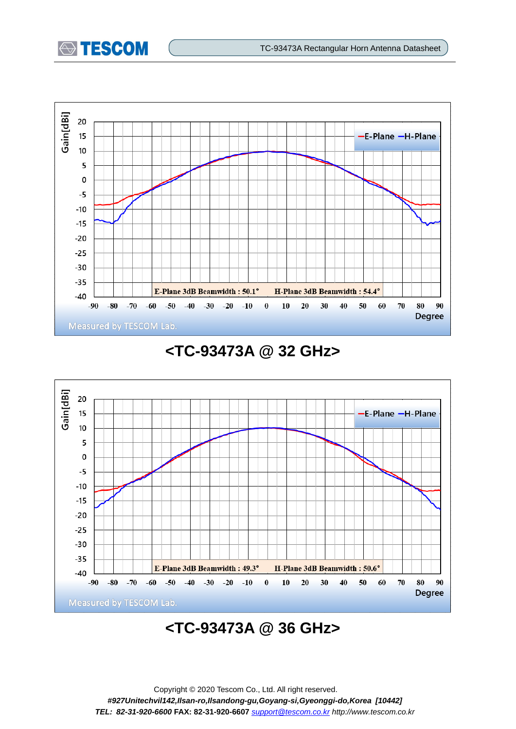



### **<TC-93473A @ 32 GHz>**



## **<TC-93473A @ 36 GHz>**

Copyright © 2020 Tescom Co., Ltd. All right reserved. *#927Unitechvil142,Ilsan-ro,Ilsandong-gu,Goyang-si,Gyeonggi-do,Korea [10442] TEL: 82-31-920-6600* **FAX: 82-31-920-6607** *[support@tescom.co.kr](mailto:support@tescom.co.kr) http://www.tescom.co.kr*